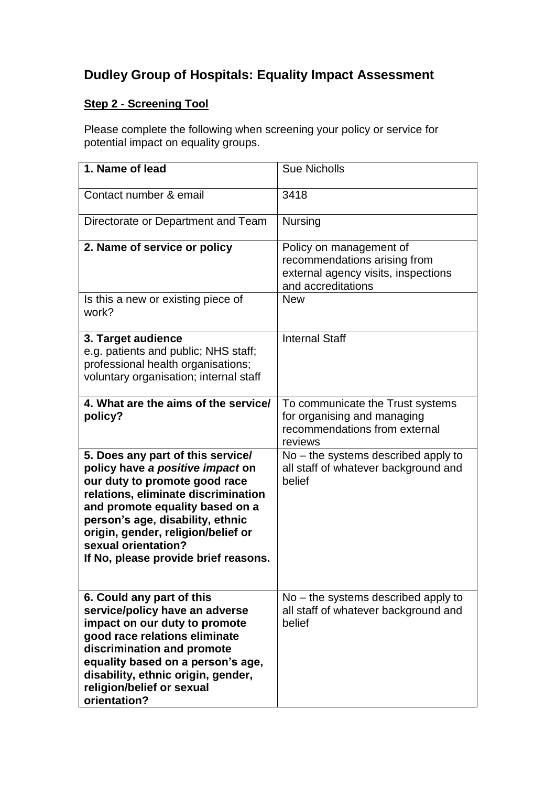# **Dudley Group of Hospitals: Equality Impact Assessment**

## **Step 2 - Screening Tool**

Please complete the following when screening your policy or service for potential impact on equality groups.

| 1. Name of lead                                                                                                                                                                                                                                                                                                           | <b>Sue Nicholls</b>                                                                                                  |
|---------------------------------------------------------------------------------------------------------------------------------------------------------------------------------------------------------------------------------------------------------------------------------------------------------------------------|----------------------------------------------------------------------------------------------------------------------|
| Contact number & email                                                                                                                                                                                                                                                                                                    | 3418                                                                                                                 |
| Directorate or Department and Team                                                                                                                                                                                                                                                                                        | <b>Nursing</b>                                                                                                       |
| 2. Name of service or policy                                                                                                                                                                                                                                                                                              | Policy on management of<br>recommendations arising from<br>external agency visits, inspections<br>and accreditations |
| Is this a new or existing piece of<br>work?                                                                                                                                                                                                                                                                               | <b>New</b>                                                                                                           |
| 3. Target audience<br>e.g. patients and public; NHS staff;<br>professional health organisations;<br>voluntary organisation; internal staff                                                                                                                                                                                | <b>Internal Staff</b>                                                                                                |
| 4. What are the aims of the service/<br>policy?                                                                                                                                                                                                                                                                           | To communicate the Trust systems<br>for organising and managing<br>recommendations from external<br>reviews          |
| 5. Does any part of this service/<br>policy have a positive impact on<br>our duty to promote good race<br>relations, eliminate discrimination<br>and promote equality based on a<br>person's age, disability, ethnic<br>origin, gender, religion/belief or<br>sexual orientation?<br>If No, please provide brief reasons. | $No$ – the systems described apply to<br>all staff of whatever background and<br>belief                              |
| 6. Could any part of this<br>service/policy have an adverse<br>impact on our duty to promote<br>good race relations eliminate<br>discrimination and promote<br>equality based on a person's age,<br>disability, ethnic origin, gender,<br>religion/belief or sexual<br>orientation?                                       | $No$ – the systems described apply to<br>all staff of whatever background and<br>belief                              |